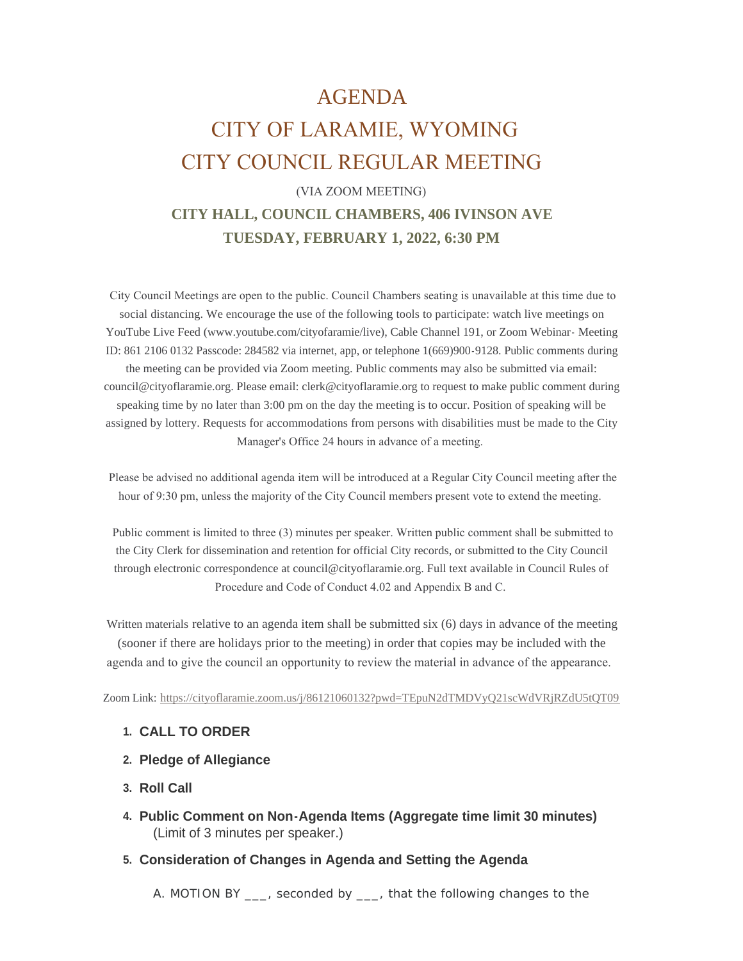# AGENDA

# CITY OF LARAMIE, WYOMING CITY COUNCIL REGULAR MEETING

# (VIA ZOOM MEETING) **CITY HALL, COUNCIL CHAMBERS, 406 IVINSON AVE**

**TUESDAY, FEBRUARY 1, 2022, 6:30 PM**

 City Council Meetings are open to the public. Council Chambers seating is unavailable at this time due to social distancing. We encourage the use of the following tools to participate: watch live meetings on YouTube Live Feed (www.youtube.com/cityofaramie/live), Cable Channel 191, or Zoom Webinar- Meeting ID: 861 2106 0132 Passcode: 284582 via internet, app, or telephone 1(669)900-9128. Public comments during the meeting can be provided via Zoom meeting. Public comments may also be submitted via email: council@cityoflaramie.org. Please email: clerk@cityoflaramie.org to request to make public comment during speaking time by no later than 3:00 pm on the day the meeting is to occur. Position of speaking will be assigned by lottery. Requests for accommodations from persons with disabilities must be made to the City Manager's Office 24 hours in advance of a meeting.

 Please be advised no additional agenda item will be introduced at a Regular City Council meeting after the hour of 9:30 pm, unless the majority of the City Council members present vote to extend the meeting.

 Public comment is limited to three (3) minutes per speaker. Written public comment shall be submitted to the City Clerk for dissemination and retention for official City records, or submitted to the City Council through electronic correspondence at council@cityoflaramie.org. Full text available in Council Rules of Procedure and Code of Conduct 4.02 and Appendix B and C.

Written materials relative to an agenda item shall be submitted six (6) days in advance of the meeting (sooner if there are holidays prior to the meeting) in order that copies may be included with the agenda and to give the council an opportunity to review the material in advance of the appearance.

Zoom Link: <https://cityoflaramie.zoom.us/j/86121060132?pwd=TEpuN2dTMDVyQ21scWdVRjRZdU5tQT09>

#### **CALL TO ORDER 1.**

- **Pledge of Allegiance 2.**
- **Roll Call 3.**
- **Public Comment on Non-Agenda Items (Aggregate time limit 30 minutes) 4.** (Limit of 3 minutes per speaker.)
- **Consideration of Changes in Agenda and Setting the Agenda 5.**

A. MOTION BY \_\_\_, seconded by \_\_\_, that the following changes to the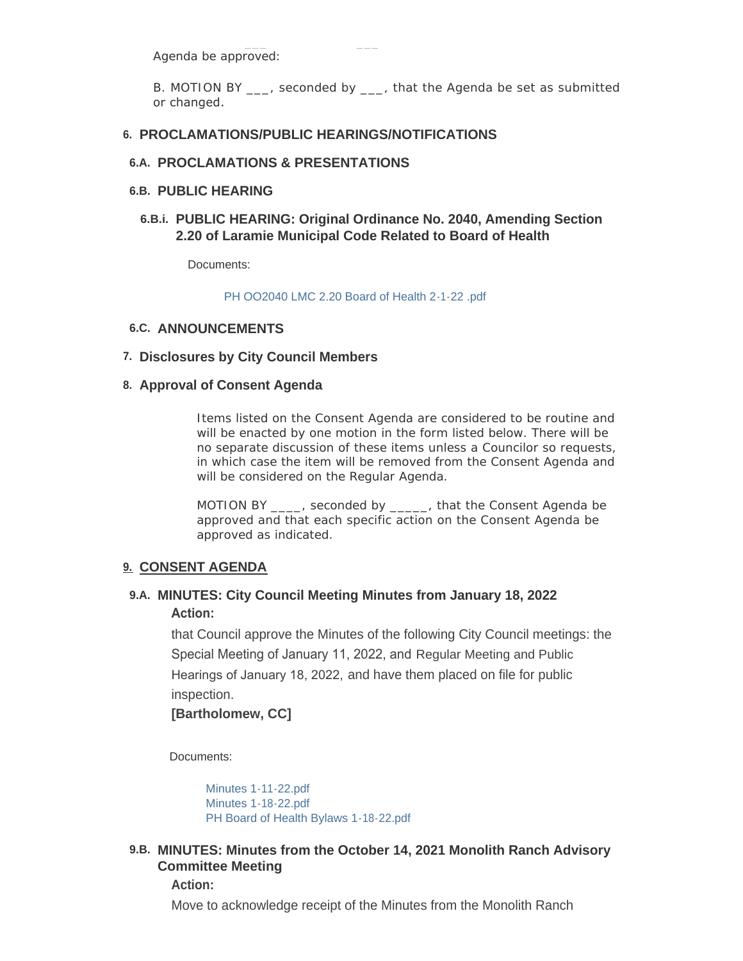Agenda be approved:

B. MOTION BY , seconded by , that the Agenda be set as submitted or changed.

#### **PROCLAMATIONS/PUBLIC HEARINGS/NOTIFICATIONS 6.**

#### **PROCLAMATIONS & PRESENTATIONS 6.A.**

#### **PUBLIC HEARING 6.B.**

**PUBLIC HEARING: Original Ordinance No. 2040, Amending Section 6.B.i. 2.20 of Laramie Municipal Code Related to Board of Health** 

Documents:

[PH OO2040 LMC 2.20 Board of Health 2-1-22 .pdf](https://cityoflaramie.org/AgendaCenter/ViewFile/Item/11738?fileID=15691)

#### **ANNOUNCEMENTS 6.C.**

#### **Disclosures by City Council Members 7.**

#### **Approval of Consent Agenda 8.**

Items listed on the Consent Agenda are considered to be routine and will be enacted by one motion in the form listed below. There will be no separate discussion of these items unless a Councilor so requests, in which case the item will be removed from the Consent Agenda and will be considered on the Regular Agenda.

MOTION BY \_\_\_\_, seconded by \_\_\_\_\_, that the Consent Agenda be approved and that each specific action on the Consent Agenda be approved as indicated.

#### **CONSENT AGENDA 9.**

#### **MINUTES: City Council Meeting Minutes from January 18, 2022 9.A. Action:**

that Council approve the Minutes of the following City Council meetings: the Special Meeting of January 11, 2022, and Regular Meeting and Public Hearings of January 18, 2022, and have them placed on file for public inspection.

#### **[Bartholomew, CC]**

Documents:

[Minutes 1-11-22.pdf](https://cityoflaramie.org/AgendaCenter/ViewFile/Item/11730?fileID=15686) [Minutes 1-18-22.pdf](https://cityoflaramie.org/AgendaCenter/ViewFile/Item/11730?fileID=15687) [PH Board of Health Bylaws 1-18-22.pdf](https://cityoflaramie.org/AgendaCenter/ViewFile/Item/11730?fileID=15688)

# **MINUTES: Minutes from the October 14, 2021 Monolith Ranch Advisory 9.B. Committee Meeting**

#### **Action:**

Move to acknowledge receipt of the Minutes from the Monolith Ranch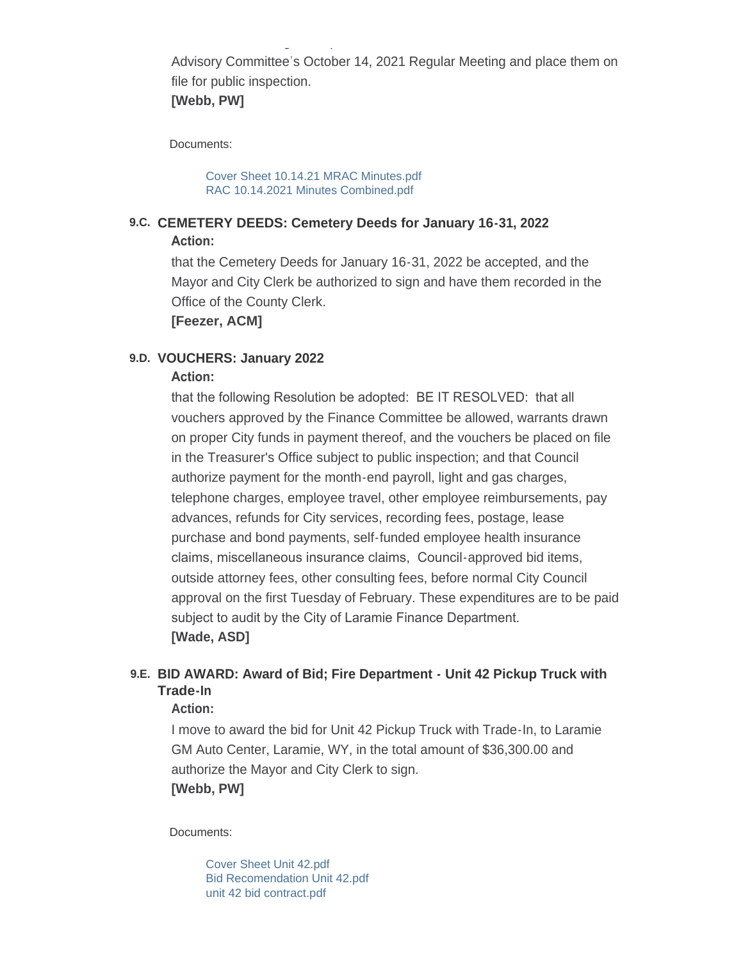Advisory Committee's October 14, 2021 Regular Meeting and place them on file for public inspection.

Move to acknowledge receipt of the Minutes from the Monolith Ranch

# **[Webb, PW]**

Documents:

[Cover Sheet 10.14.21 MRAC Minutes.pdf](https://cityoflaramie.org/AgendaCenter/ViewFile/Item/11743?fileID=15734) [RAC 10.14.2021 Minutes Combined.pdf](https://cityoflaramie.org/AgendaCenter/ViewFile/Item/11743?fileID=15735)

#### **CEMETERY DEEDS: Cemetery Deeds for January 16-31, 2022 9.C. Action:**

that the Cemetery Deeds for January 16-31, 2022 be accepted, and the Mayor and City Clerk be authorized to sign and have them recorded in the Office of the County Clerk.

**[Feezer, ACM]**

#### **VOUCHERS: January 2022 9.D.**

#### **Action:**

that the following Resolution be adopted: BE IT RESOLVED: that all vouchers approved by the Finance Committee be allowed, warrants drawn on proper City funds in payment thereof, and the vouchers be placed on file in the Treasurer's Office subject to public inspection; and that Council authorize payment for the month-end payroll, light and gas charges, telephone charges, employee travel, other employee reimbursements, pay advances, refunds for City services, recording fees, postage, lease purchase and bond payments, self-funded employee health insurance claims, miscellaneous insurance claims, Council-approved bid items, outside attorney fees, other consulting fees, before normal City Council approval on the first Tuesday of February. These expenditures are to be paid subject to audit by the City of Laramie Finance Department. **[Wade, ASD]**

# **BID AWARD: Award of Bid; Fire Department - Unit 42 Pickup Truck with 9.E. Trade-In**

#### **Action:**

I move to award the bid for Unit 42 Pickup Truck with Trade-In, to Laramie GM Auto Center, Laramie, WY, in the total amount of \$36,300.00 and authorize the Mayor and City Clerk to sign. **[Webb, PW]**

Documents:

[Cover Sheet Unit 42.pdf](https://cityoflaramie.org/AgendaCenter/ViewFile/Item/11742?fileID=15731) [Bid Recomendation Unit 42.pdf](https://cityoflaramie.org/AgendaCenter/ViewFile/Item/11742?fileID=15732) [unit 42 bid contract.pdf](https://cityoflaramie.org/AgendaCenter/ViewFile/Item/11742?fileID=15733)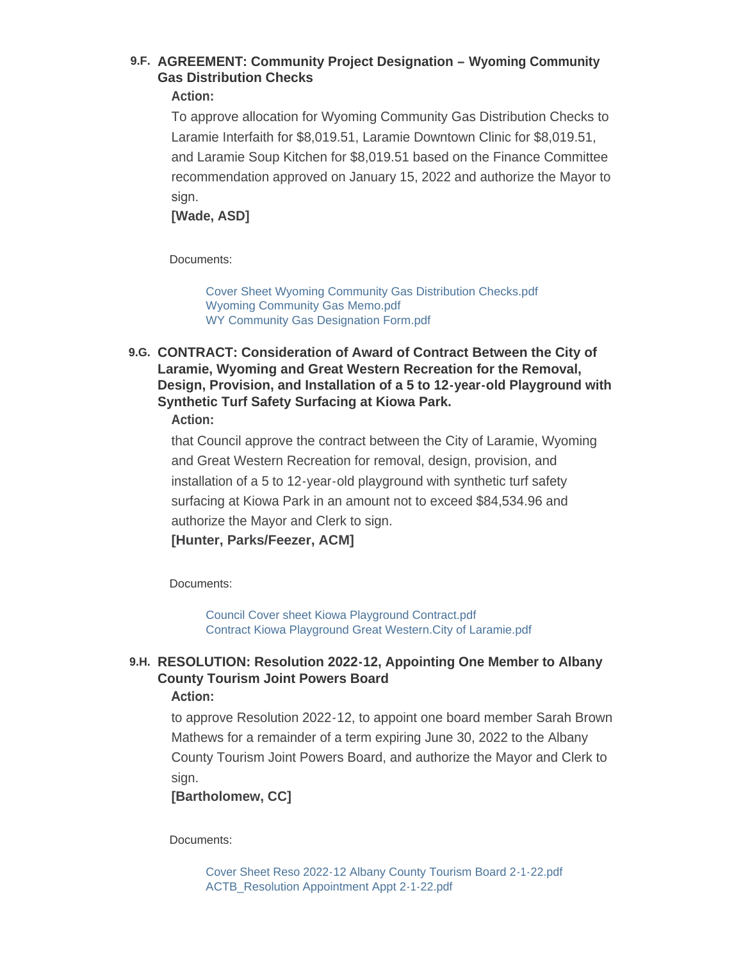# **AGREEMENT: Community Project Designation – Wyoming Community 9.F. Gas Distribution Checks**

#### **Action:**

To approve allocation for Wyoming Community Gas Distribution Checks to Laramie Interfaith for \$8,019.51, Laramie Downtown Clinic for \$8,019.51, and Laramie Soup Kitchen for \$8,019.51 based on the Finance Committee recommendation approved on January 15, 2022 and authorize the Mayor to sign.

**[Wade, ASD]**

Documents:

[Cover Sheet Wyoming Community Gas Distribution Checks.pdf](https://cityoflaramie.org/AgendaCenter/ViewFile/Item/11741?fileID=15850) [Wyoming Community Gas Memo.pdf](https://cityoflaramie.org/AgendaCenter/ViewFile/Item/11741?fileID=15728) [WY Community Gas Designation Form.pdf](https://cityoflaramie.org/AgendaCenter/ViewFile/Item/11741?fileID=15729)

# **CONTRACT: Consideration of Award of Contract Between the City of 9.G. Laramie, Wyoming and Great Western Recreation for the Removal, Design, Provision, and Installation of a 5 to 12-year-old Playground with Synthetic Turf Safety Surfacing at Kiowa Park.**

**Action:**

that Council approve the contract between the City of Laramie, Wyoming and Great Western Recreation for removal, design, provision, and installation of a 5 to 12-year-old playground with synthetic turf safety surfacing at Kiowa Park in an amount not to exceed \$84,534.96 and authorize the Mayor and Clerk to sign.

**[Hunter, Parks/Feezer, ACM]**

Documents:

[Council Cover sheet Kiowa Playground Contract.pdf](https://cityoflaramie.org/AgendaCenter/ViewFile/Item/11746?fileID=15741) [Contract Kiowa Playground Great Western.City of Laramie.pdf](https://cityoflaramie.org/AgendaCenter/ViewFile/Item/11746?fileID=15742)

# **RESOLUTION: Resolution 2022-12, Appointing One Member to Albany 9.H. County Tourism Joint Powers Board**

#### **Action:**

to approve Resolution 2022-12, to appoint one board member Sarah Brown Mathews for a remainder of a term expiring June 30, 2022 to the Albany County Tourism Joint Powers Board, and authorize the Mayor and Clerk to sign.

### **[Bartholomew, CC]**

Documents:

[Cover Sheet Reso 2022-12 Albany County Tourism Board 2-1-22.pdf](https://cityoflaramie.org/AgendaCenter/ViewFile/Item/11739?fileID=15842) [ACTB\\_Resolution Appointment Appt 2-1-22.pdf](https://cityoflaramie.org/AgendaCenter/ViewFile/Item/11739?fileID=15841)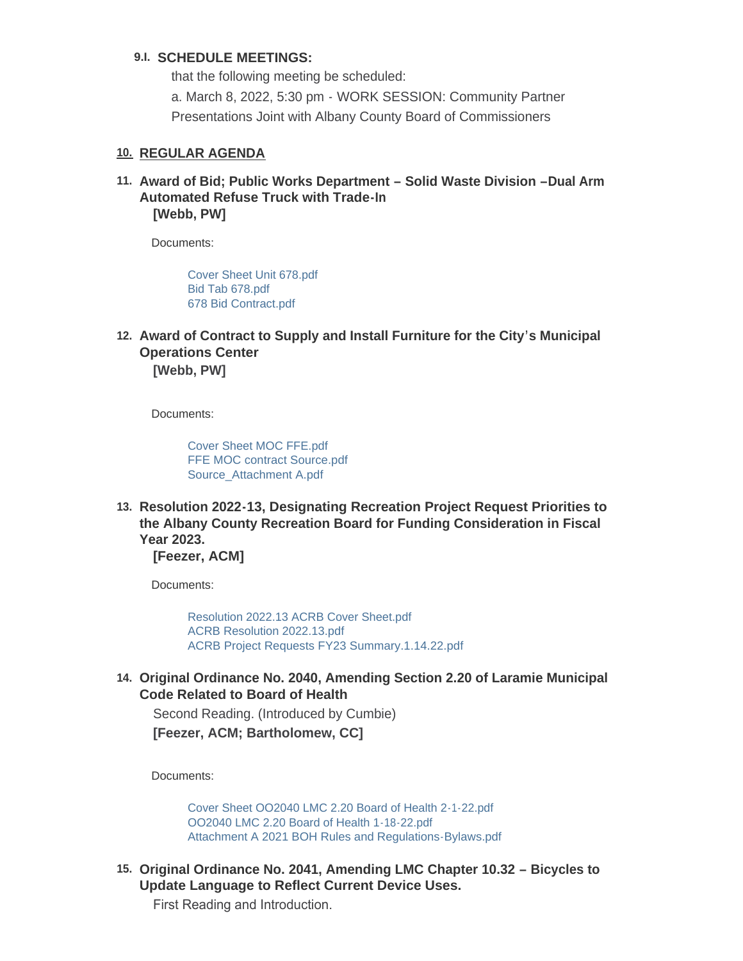#### **SCHEDULE MEETINGS: 9.I.**

that the following meeting be scheduled: a. March 8, 2022, 5:30 pm - WORK SESSION: Community Partner Presentations Joint with Albany County Board of Commissioners

#### **REGULAR AGENDA 10.**

**Award of Bid; Public Works Department – Solid Waste Division –Dual Arm 11. Automated Refuse Truck with Trade-In [Webb, PW]**

Documents:

[Cover Sheet Unit 678.pdf](https://cityoflaramie.org/AgendaCenter/ViewFile/Item/11744?fileID=15736) [Bid Tab 678.pdf](https://cityoflaramie.org/AgendaCenter/ViewFile/Item/11744?fileID=15737) [678 Bid Contract.pdf](https://cityoflaramie.org/AgendaCenter/ViewFile/Item/11744?fileID=15738)

**Award of Contract to Supply and Install Furniture for the City's Municipal 12. Operations Center [Webb, PW]**

Documents:

[Cover Sheet MOC FFE.pdf](https://cityoflaramie.org/AgendaCenter/ViewFile/Item/11749?fileID=15748) [FFE MOC contract Source.pdf](https://cityoflaramie.org/AgendaCenter/ViewFile/Item/11749?fileID=15749) [Source\\_Attachment A.pdf](https://cityoflaramie.org/AgendaCenter/ViewFile/Item/11749?fileID=15750)

**Resolution 2022-13, Designating Recreation Project Request Priorities to 13. the Albany County Recreation Board for Funding Consideration in Fiscal Year 2023. [Feezer, ACM]**

Documents:

[Resolution 2022.13 ACRB Cover Sheet.pdf](https://cityoflaramie.org/AgendaCenter/ViewFile/Item/11747?fileID=15743) [ACRB Resolution 2022.13.pdf](https://cityoflaramie.org/AgendaCenter/ViewFile/Item/11747?fileID=15744) [ACRB Project Requests FY23 Summary.1.14.22.pdf](https://cityoflaramie.org/AgendaCenter/ViewFile/Item/11747?fileID=15745)

**Original Ordinance No. 2040, Amending Section 2.20 of Laramie Municipal 14. Code Related to Board of Health** 

Second Reading. (Introduced by Cumbie) **[Feezer, ACM; Bartholomew, CC]**

Documents:

[Cover Sheet OO2040 LMC 2.20 Board of Health 2-1-22.pdf](https://cityoflaramie.org/AgendaCenter/ViewFile/Item/11740?fileID=15692) [OO2040 LMC 2.20 Board of Health 1-18-22.pdf](https://cityoflaramie.org/AgendaCenter/ViewFile/Item/11740?fileID=15693) [Attachment A 2021 BOH Rules and Regulations-Bylaws.pdf](https://cityoflaramie.org/AgendaCenter/ViewFile/Item/11740?fileID=15694)

15. Original Ordinance No. 2041, Amending LMC Chapter 10.32 - Bicycles to **Update Language to Reflect Current Device Uses.**

First Reading and Introduction.